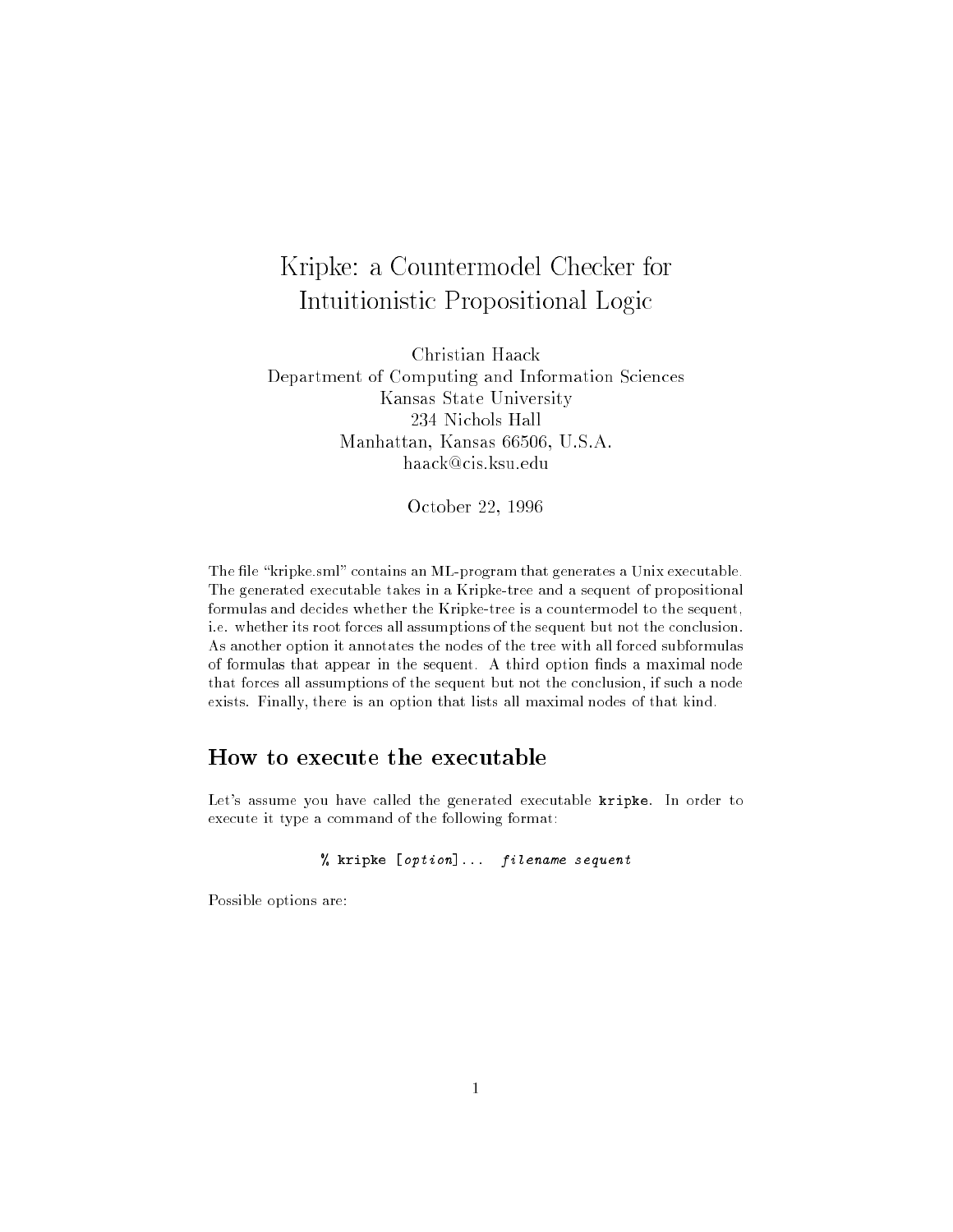## Kripke: <sup>a</sup> Countermodel Checker for Intuitionistic Propositional Logic

Christian Haack Department of Computing and Information Sciences Kansas State University 234 Nichols Hall Manhattan, Kansas 66506, U.S.A. haack@cis.ksu.edu

October 22, 1996

The file "kripke.sml" contains an ML-program that generates a Unix executable. The generated executable takes in a Kripke-tree and a sequent of propositional formulas and decides whether the Kripke-tree is a countermodel to the sequent, i.e. whether its root forces all assumptions of the sequent but not the conclusion. As another option it annotates the nodes of the tree with all forced subformulas of formulas that appear in the sequent. A third option finds a maximal node that forces all assumptions of the sequent but not the conclusion, if such a node exists. Finally, there is an option that lists all maximal nodes of that kind.

## How to execute the executable

Let's assume you have called the generated executable kripke. In order to execute it type a command of the following format:

 $\mathcal{W}$  is equivalent for the filence of  $\mathcal{W}$  is the sequence of  $\mathcal{W}$ 

Possible options are: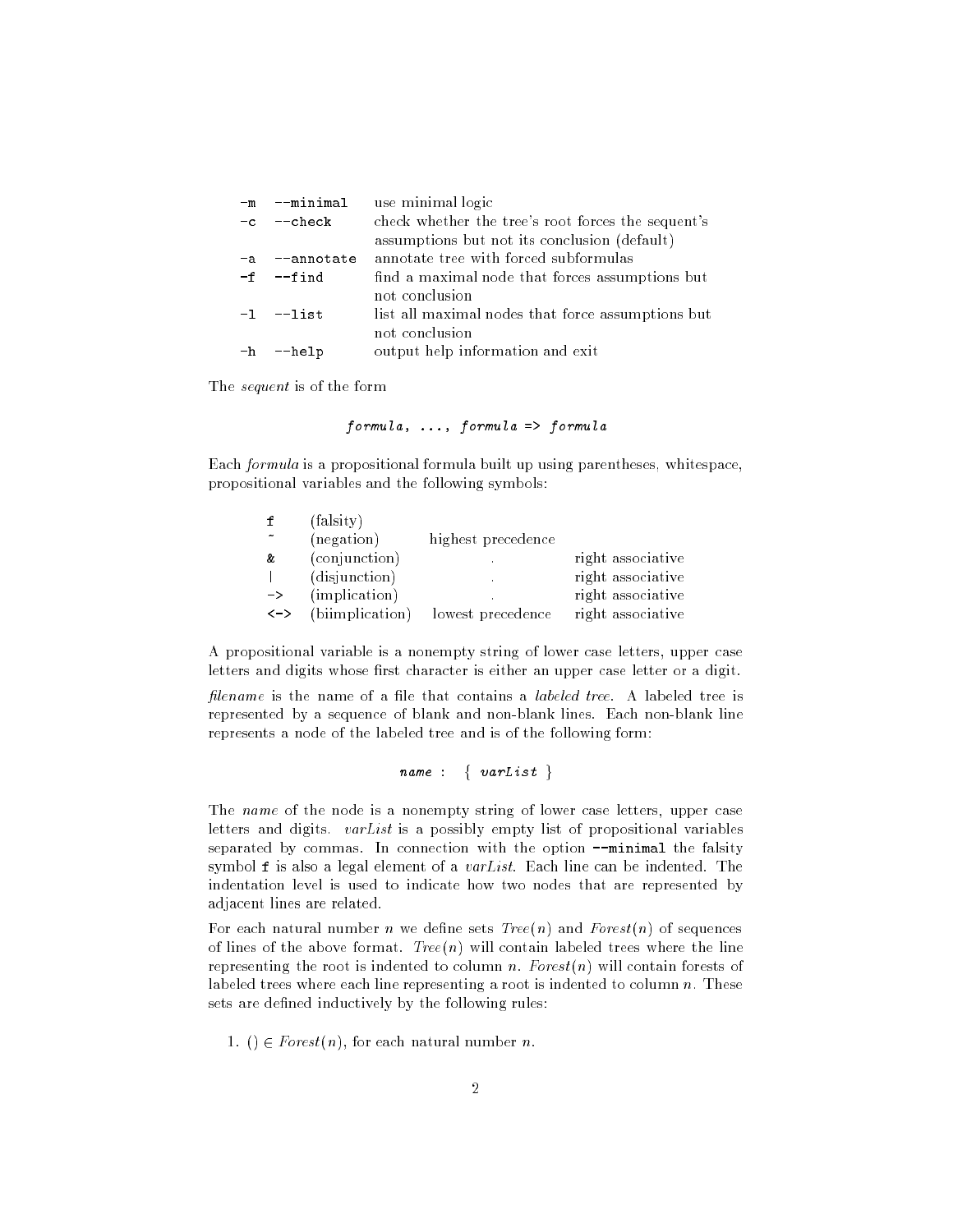| -m --minimal  | use minimal logic                                  |  |  |
|---------------|----------------------------------------------------|--|--|
| -c --check    | check whether the tree's root forces the sequent's |  |  |
|               | assumptions but not its conclusion (default)       |  |  |
| -a --annotate | annotate tree with forced subformulas              |  |  |
| $-f - find$   | find a maximal node that forces assumptions but    |  |  |
|               | not conclusion                                     |  |  |
| $-1$ $-1$ ist | list all maximal nodes that force assumptions but  |  |  |
|               | not conclusion                                     |  |  |
| -h --help     | output help information and exit                   |  |  |
|               |                                                    |  |  |

The sequent is of the form

 $formula, \ldots, formula \Rightarrow formula$ 

Each formula is a propositional formula built up using parentheses, whitespace, propositional variables and the following symbols:

|                     | (falsity)       |                    |                   |
|---------------------|-----------------|--------------------|-------------------|
|                     | (negation)      | highest precedence |                   |
| &                   | (conjunction)   |                    | right associative |
|                     | (disjunction)   | ×.                 | right associative |
| $\rightarrow$       | (implication)   |                    | right associative |
| $\langle - \rangle$ | (biimplication) | lowest precedence  | right associative |

A propositional variable is a nonempty string of lower case letters, upper case letters and digits whose first character is either an upper case letter or a digit.

filename is the name of a file that contains a *labeled tree*. A labeled tree is represented by a sequence of blank and non-blank lines. Each non-blank line represents a node of the labeled tree and is of the following form:

name : {  $varList$ }

The name of the node is a nonempty string of lower case letters, upper case letters and digits.  $varList$  is a possibly empty list of propositional variables separated by commas. In connection with the option --minimal the falsity symbol  $f$  is also a legal element of a *varList*. Each line can be indented. The indentation level is used to indicate how two nodes that are represented by adjacent lines are related.

For each natural number *n* we define sets  $Tree(n)$  and  $Forest(n)$  of sequences of lines of the above format.  $Tree(n)$  will contain labeled trees where the line representing the root is indented to column n.  $Forest(n)$  will contain forests of labeled trees where each line representing a root is indented to column  $n$ . These sets are defined inductively by the following rules:

1. ()  $\in Forest(n)$ , for each natural number *n*.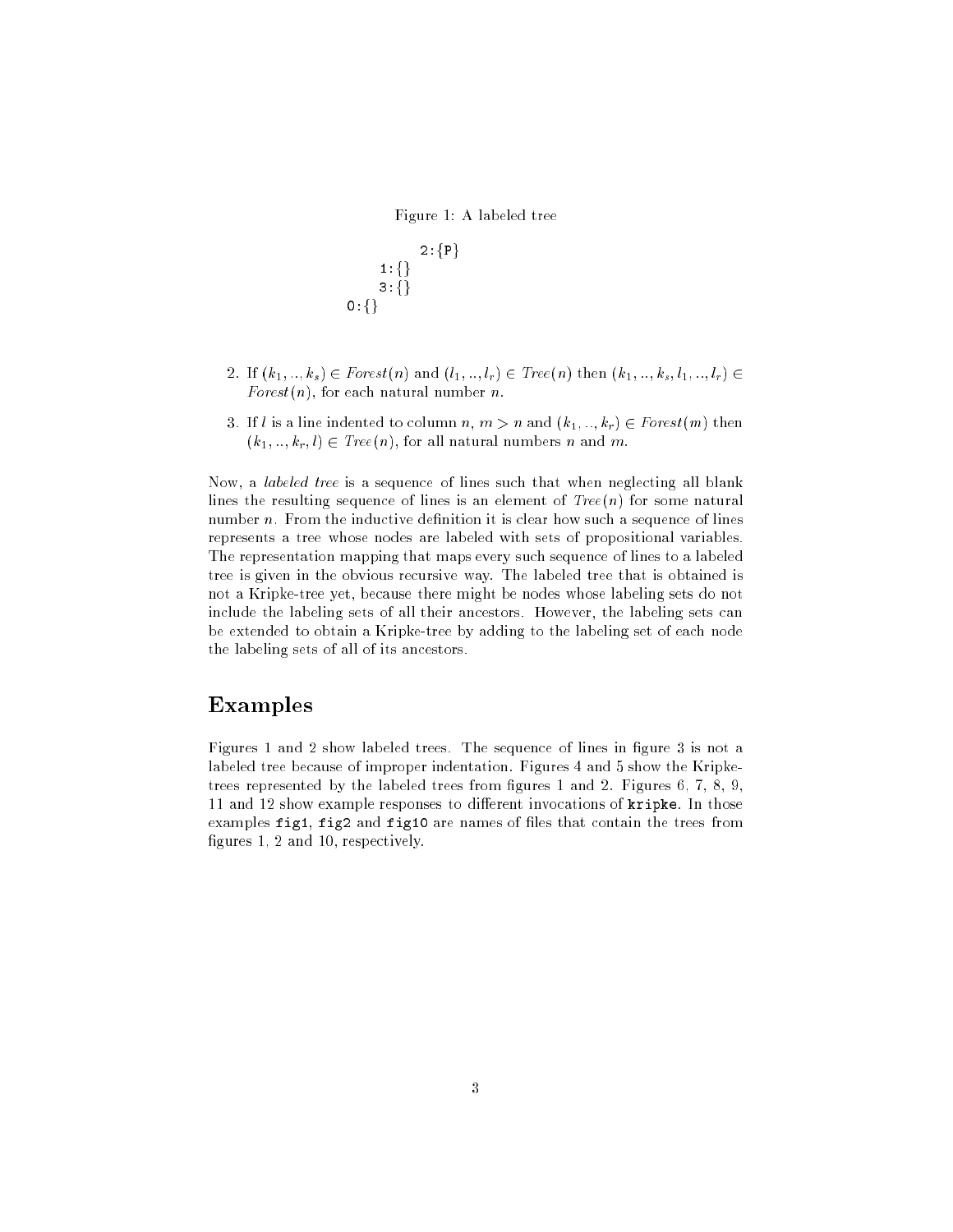Figure 1: A labeled tree

2:fPg 1:fg3:fg0:fg

- 2. If  $(k_1, ..., k_s) \in Forest(n)$  and  $(l_1, ..., l_r) \in Tree(n)$  then  $(k_1, ..., k_s, l_1, ..., l_r) \in$ Forest $(n)$ , for each natural number n.
- 3. If l is a line indented to column n,  $m > n$  and  $(k_1, ..., k_r) \in Forest(m)$  then  $(k_1, ..., k_r, l) \in Tree(n)$ , for all natural numbers n and m.

Now, a labeled tree is a sequence of lines such that when neglecting all blank lines the resulting sequence of lines is an element of  $Tree(n)$  for some natural number  $n$ . From the inductive definition it is clear how such a sequence of lines represents a tree whose nodes are labeled with sets of propositional variables. The representation mapping that maps every such sequence of lines to a labeled tree is given in the obvious recursive way. The labeled tree that is obtained is not a Kripke-tree yet, because there might be nodes whose labeling sets do not include the labeling sets of all their ancestors. However, the labeling sets can be extended to obtain a Kripke-tree by adding to the labeling set of each node the labeling sets of all of its ancestors.

## Examples

Figures 1 and 2 show labeled trees. The sequence of lines in figure 3 is not a labeled tree because of improper indentation. Figures 4 and 5 show the Kripketrees represented by the labeled trees from figures 1 and 2. Figures  $6, 7, 8, 9,$ 11 and 12 show example responses to different invocations of  $\texttt{kripke}$ . In those examples fig1, fig2 and fig10 are names of files that contain the trees from gures 1, 2 and 10, respectively.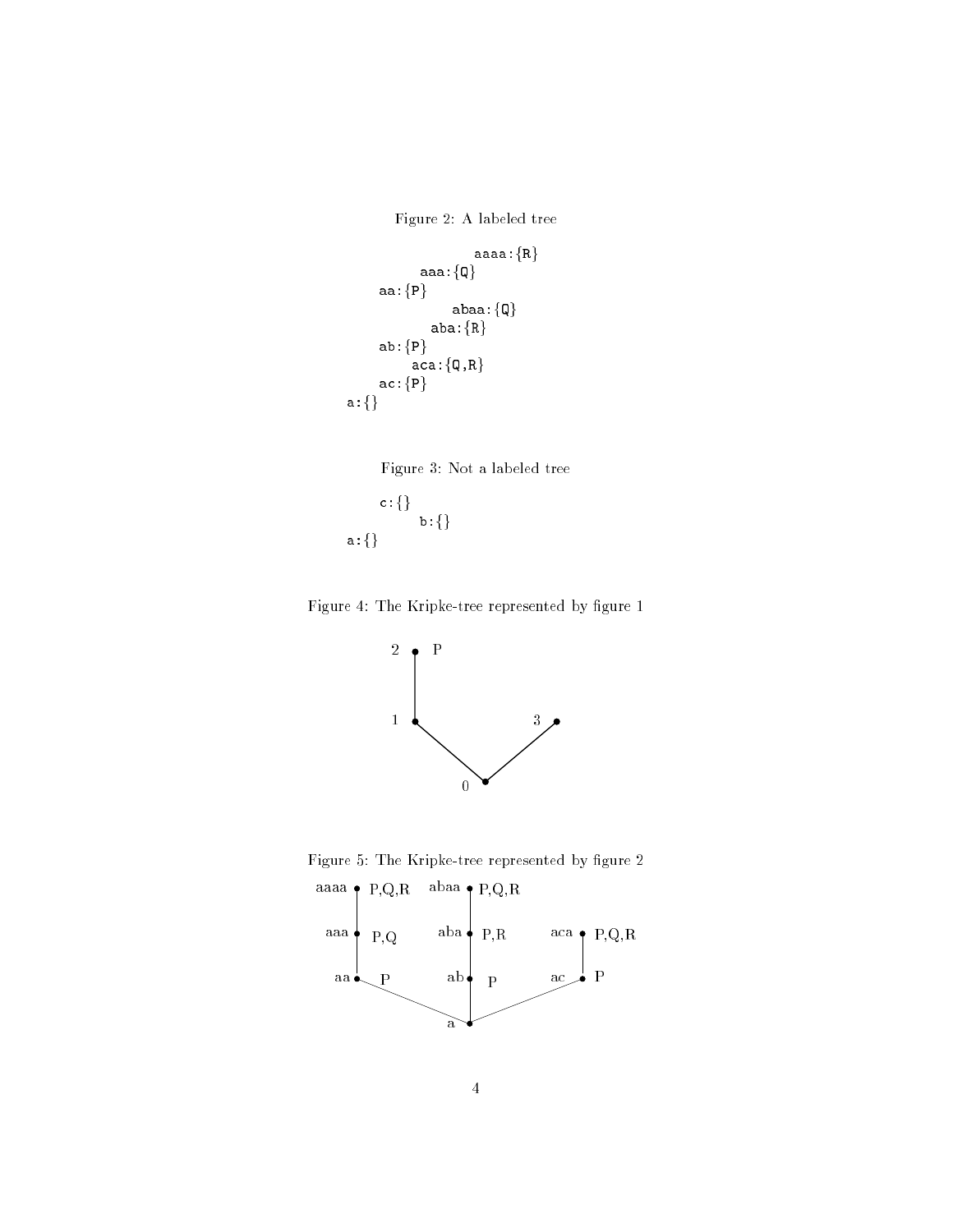Figure 2: A labeled tree

```
aaaa:fRg
           ------
     aa:fPg
                 abaa:fQg
             a.e.u.i
     -aca:\{\texttt{Q},\texttt{R}\}ac:fPg
a:fg
```




Figure 4: The Kripke-tree represented by figure 1



Figure 5: The Kripke-tree represented by figure 2

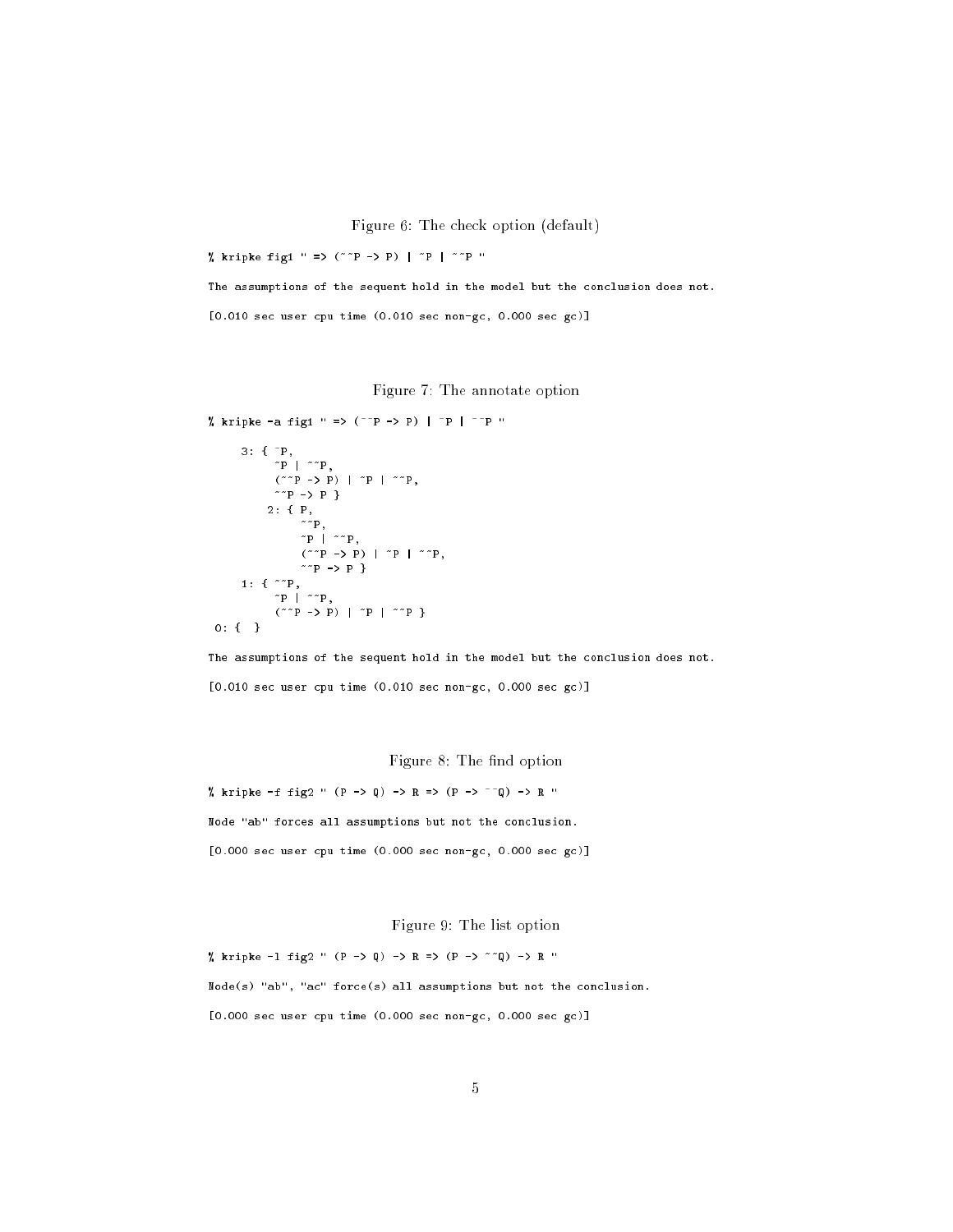Figure 6: The check option (default)

 $\ldots$  . The figure figure figure fig. (  $\ldots$  )  $\ldots$   $\ldots$   $\ldots$   $\ldots$   $\ldots$ 

The assumptions of the sequent hold in the model but the conclusion does not.

[0.010 sec user cpu time (0.010 sec non-gc, 0.000 sec gc)]

Figure 7: The annotate option

 $\ldots$  kripter -a figure -a figure -a figure -a figure -a figure -a figure -a figure -a figure -a figure -a figure -a figure -a figure -a figure -a figure -a figure -a figure -a figure -a figure -a figure -a figure -a figu

```
- . . .
                    ~P | ~~P,
                    \sim P \sim P \sim P \sim P \sim P \sim P \sim P \sim P \sim P \sim P \sim P \sim P \sim P \sim P \sim P \sim P \sim P \sim P \sim P \sim P \sim P \sim P \sim P \sim P \sim P \sim P \sim P \sim P \sim P \sim P \sim P \sim~~P -> P }
                2: { P,
                                     ~\cdots\ddot{\quad} \ddot{\quad}\sim P -> P \sim P \sim P \sim P \sim P \sim P \sim P \sim P \sim P \sim P \sim P \sim P \sim P \sim P \sim P \sim P \sim P \sim P \sim P \sim P \sim P \sim P \sim P \sim P \sim P \sim P \sim P \sim P \sim P \sim P \sim P
                                     ~~P -> P }
- . . . .
                    ~P | ~~P,
                    \sim - P \sim P \sim P \sim P \sim P \sim P \sim
```
0: { }

The assumptions of the sequent hold in the model but the conclusion does not. [0.010 sec user cpu time (0.010 sec non-gc, 0.000 sec gc)]

Figure 8: The find option

 $\alpha$  is the fig. of the fig2  $\alpha$  -p  $\alpha$  -p  $\alpha$  -p  $\alpha$  -p  $\alpha$  -p  $\alpha$  -p  $\alpha$  -p  $\alpha$  -p  $\alpha$  -p  $\alpha$  -p  $\alpha$  -p  $\alpha$  -p  $\alpha$  -p  $\alpha$  -p  $\alpha$  -p  $\alpha$  -p  $\alpha$  -p  $\alpha$  -p  $\alpha$  -p  $\alpha$  -p  $\alpha$  -p  $\alpha$  -p  $\alpha$  -p  $\alpha$  -p Node "ab" forces all assumptions but not the conclusion. [0.000 sec user cpu time (0.000 sec non-gc, 0.000 sec gc)]

Figure 9: The list option

 $\alpha$  are part -line fig2  $\alpha$  -contributed by  $\alpha$  -contributed by  $\alpha$  -contributed by  $\alpha$  -contributed by  $\alpha$ Node(s) "ab", "ac" force(s) all assumptions but not the conclusion. [0.000 sec user cpu time (0.000 sec non-gc, 0.000 sec gc)]